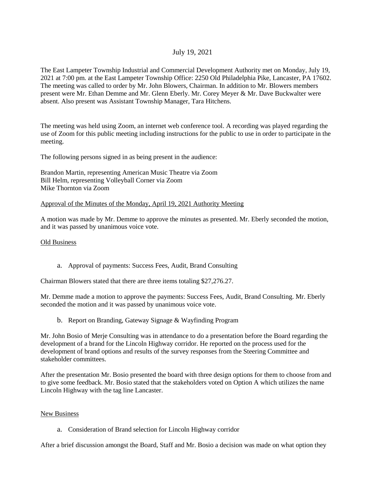# July 19, 2021

The East Lampeter Township Industrial and Commercial Development Authority met on Monday, July 19, 2021 at 7:00 pm. at the East Lampeter Township Office: 2250 Old Philadelphia Pike, Lancaster, PA 17602. The meeting was called to order by Mr. John Blowers, Chairman. In addition to Mr. Blowers members present were Mr. Ethan Demme and Mr. Glenn Eberly. Mr. Corey Meyer & Mr. Dave Buckwalter were absent. Also present was Assistant Township Manager, Tara Hitchens.

The meeting was held using Zoom, an internet web conference tool. A recording was played regarding the use of Zoom for this public meeting including instructions for the public to use in order to participate in the meeting.

The following persons signed in as being present in the audience:

Brandon Martin, representing American Music Theatre via Zoom Bill Helm, representing Volleyball Corner via Zoom Mike Thornton via Zoom

### Approval of the Minutes of the Monday, April 19, 2021 Authority Meeting

A motion was made by Mr. Demme to approve the minutes as presented. Mr. Eberly seconded the motion, and it was passed by unanimous voice vote.

#### Old Business

a. Approval of payments: Success Fees, Audit, Brand Consulting

Chairman Blowers stated that there are three items totaling \$27,276.27.

Mr. Demme made a motion to approve the payments: Success Fees, Audit, Brand Consulting. Mr. Eberly seconded the motion and it was passed by unanimous voice vote.

b. Report on Branding, Gateway Signage & Wayfinding Program

Mr. John Bosio of Merje Consulting was in attendance to do a presentation before the Board regarding the development of a brand for the Lincoln Highway corridor. He reported on the process used for the development of brand options and results of the survey responses from the Steering Committee and stakeholder committees.

After the presentation Mr. Bosio presented the board with three design options for them to choose from and to give some feedback. Mr. Bosio stated that the stakeholders voted on Option A which utilizes the name Lincoln Highway with the tag line Lancaster.

### New Business

a. Consideration of Brand selection for Lincoln Highway corridor

After a brief discussion amongst the Board, Staff and Mr. Bosio a decision was made on what option they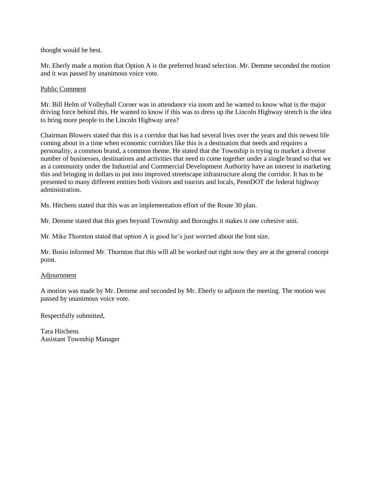thought would be best.

Mr. Eberly made a motion that Option A is the preferred brand selection. Mr. Demme seconded the motion and it was passed by unanimous voice vote.

## Public Comment

Mr. Bill Helm of Volleyball Corner was in attendance via zoom and he wanted to know what is the major driving force behind this. He wanted to know if this was to dress up the Lincoln Highway stretch is the idea to bring more people to the Lincoln Highway area?

Chairman Blowers stated that this is a corridor that has had several lives over the years and this newest life coming about in a time when economic corridors like this is a destination that needs and requires a personality, a common brand, a common theme. He stated that the Township is trying to market a diverse number of businesses, destinations and activities that need to come together under a single brand so that we as a community under the Industrial and Commercial Development Authority have an interest in marketing this and bringing in dollars to put into improved streetscape infrastructure along the corridor. It has to be presented to many different entities both visitors and tourists and locals, PennDOT the federal highway administration.

Ms. Hitchens stated that this was an implementation effort of the Route 30 plan.

Mr. Demme stated that this goes beyond Township and Boroughs it makes it one cohesive unit.

Mr. Mike Thornton stated that option A is good he's just worried about the font size.

Mr. Bosio informed Mr. Thornton that this will all be worked out right now they are at the general concept point.

### Adjournment

A motion was made by Mr. Demme and seconded by Mr. Eberly to adjourn the meeting. The motion was passed by unanimous voice vote.

Respectfully submitted,

Tara Hitchens Assistant Township Manager